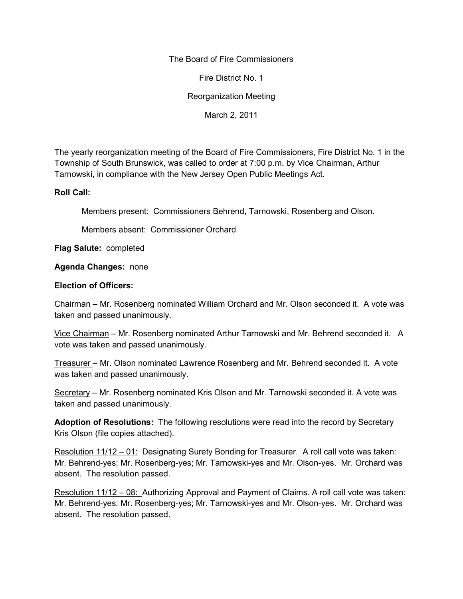## The Board of Fire Commissioners

Fire District No. 1

Reorganization Meeting

March 2, 2011

The yearly reorganization meeting of the Board of Fire Commissioners, Fire District No. 1 in the Township of South Brunswick, was called to order at 7:00 p.m. by Vice Chairman, Arthur Tarnowski, in compliance with the New Jersey Open Public Meetings Act.

## **Roll Call:**

Members present: Commissioners Behrend, Tarnowski, Rosenberg and Olson.

Members absent: Commissioner Orchard

**Flag Salute:** completed

## **Agenda Changes:** none

## **Election of Officers:**

Chairman – Mr. Rosenberg nominated William Orchard and Mr. Olson seconded it. A vote was taken and passed unanimously.

Vice Chairman – Mr. Rosenberg nominated Arthur Tarnowski and Mr. Behrend seconded it. A vote was taken and passed unanimously.

Treasurer – Mr. Olson nominated Lawrence Rosenberg and Mr. Behrend seconded it. A vote was taken and passed unanimously.

Secretary – Mr. Rosenberg nominated Kris Olson and Mr. Tarnowski seconded it. A vote was taken and passed unanimously.

**Adoption of Resolutions:** The following resolutions were read into the record by Secretary Kris Olson (file copies attached).

Resolution 11/12 – 01: Designating Surety Bonding for Treasurer. A roll call vote was taken: Mr. Behrend-yes; Mr. Rosenberg-yes; Mr. Tarnowski-yes and Mr. Olson-yes. Mr. Orchard was absent. The resolution passed.

Resolution 11/12 – 08: Authorizing Approval and Payment of Claims. A roll call vote was taken: Mr. Behrend-yes; Mr. Rosenberg-yes; Mr. Tarnowski-yes and Mr. Olson-yes. Mr. Orchard was absent. The resolution passed.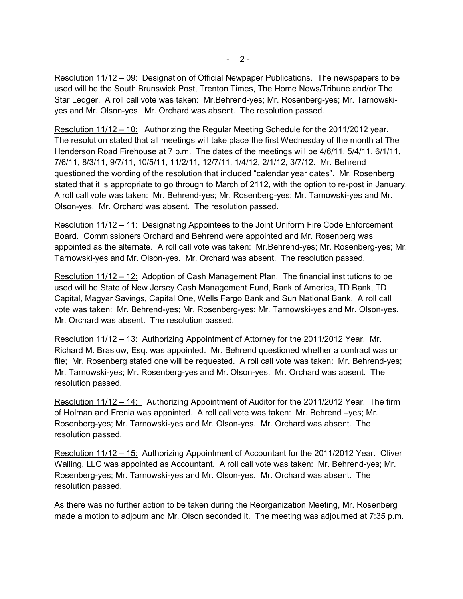Resolution 11/12 – 09: Designation of Official Newpaper Publications. The newspapers to be used will be the South Brunswick Post, Trenton Times, The Home News/Tribune and/or The Star Ledger. A roll call vote was taken: Mr.Behrend-yes; Mr. Rosenberg-yes; Mr. Tarnowski yes and Mr. Olson-yes. Mr. Orchard was absent. The resolution passed.

Resolution 11/12 – 10: Authorizing the Regular Meeting Schedule for the 2011/2012 year. The resolution stated that all meetings will take place the first Wednesday of the month at The Henderson Road Firehouse at 7 p.m. The dates of the meetings will be 4/6/11, 5/4/11, 6/1/11, 7/6/11, 8/3/11, 9/7/11, 10/5/11, 11/2/11, 12/7/11, 1/4/12, 2/1/12, 3/7/12. Mr. Behrend questioned the wording of the resolution that included "calendar year dates". Mr. Rosenberg stated that it is appropriate to go through to March of 2112, with the option to re-post in January. A roll call vote was taken: Mr. Behrend-yes; Mr. Rosenberg-yes; Mr. Tarnowski-yes and Mr. Olson-yes. Mr. Orchard was absent. The resolution passed.

Resolution 11/12 – 11: Designating Appointees to the Joint Uniform Fire Code Enforcement Board. Commissioners Orchard and Behrend were appointed and Mr. Rosenberg was appointed as the alternate. A roll call vote was taken: Mr.Behrend-yes; Mr. Rosenberg-yes; Mr. Tarnowski-yes and Mr. Olson-yes. Mr. Orchard was absent. The resolution passed.

Resolution 11/12 – 12: Adoption of Cash Management Plan. The financial institutions to be used will be State of New Jersey Cash Management Fund, Bank of America, TD Bank, TD Capital, Magyar Savings, Capital One, Wells Fargo Bank and Sun National Bank. A roll call vote was taken: Mr. Behrend-yes; Mr. Rosenberg-yes; Mr. Tarnowski-yes and Mr. Olson-yes. Mr. Orchard was absent. The resolution passed.

Resolution 11/12 – 13: Authorizing Appointment of Attorney for the 2011/2012 Year. Mr. Richard M. Braslow, Esq. was appointed. Mr. Behrend questioned whether a contract was on file; Mr. Rosenberg stated one will be requested. A roll call vote was taken: Mr. Behrend-yes; Mr. Tarnowski-yes; Mr. Rosenberg-yes and Mr. Olson-yes. Mr. Orchard was absent. The resolution passed.

Resolution 11/12 – 14: Authorizing Appointment of Auditor for the 2011/2012 Year. The firm of Holman and Frenia was appointed. A roll call vote was taken: Mr. Behrend –yes; Mr. Rosenberg-yes; Mr. Tarnowski-yes and Mr. Olson-yes. Mr. Orchard was absent. The resolution passed.

Resolution 11/12 – 15: Authorizing Appointment of Accountant for the 2011/2012 Year. Oliver Walling, LLC was appointed as Accountant. A roll call vote was taken: Mr. Behrend-yes; Mr. Rosenberg-yes; Mr. Tarnowski-yes and Mr. Olson-yes. Mr. Orchard was absent. The resolution passed.

As there was no further action to be taken during the Reorganization Meeting, Mr. Rosenberg made a motion to adjourn and Mr. Olson seconded it. The meeting was adjourned at 7:35 p.m.